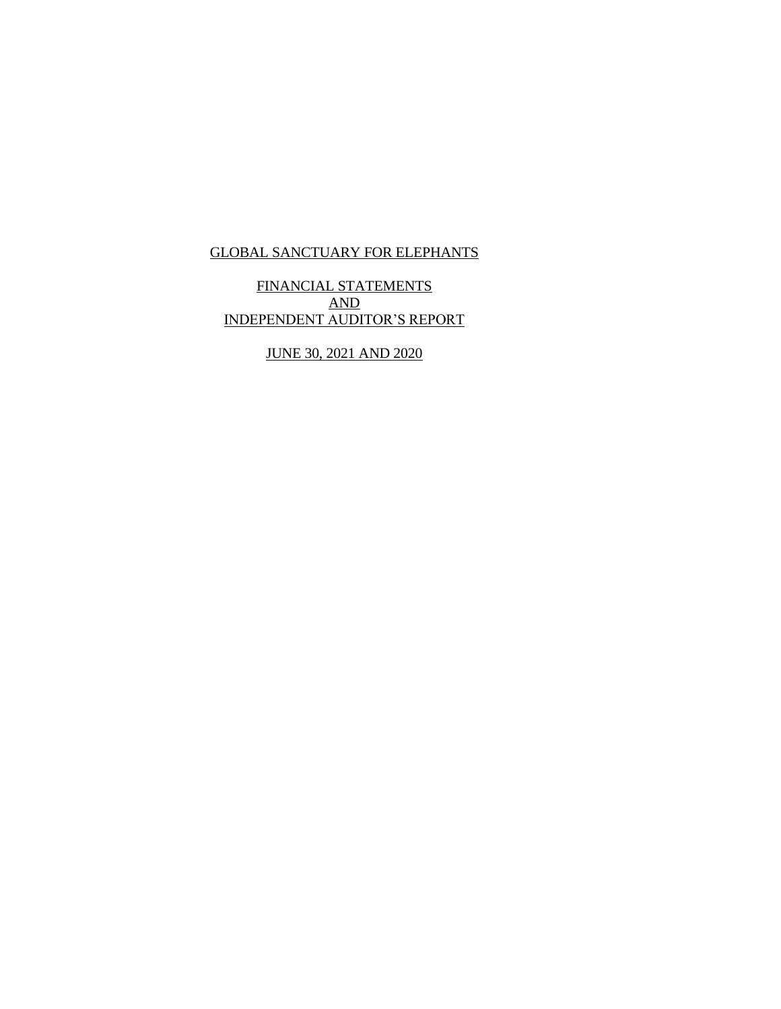FINANCIAL STATEMENTS AND INDEPENDENT AUDITOR'S REPORT

JUNE 30, 2021 AND 2020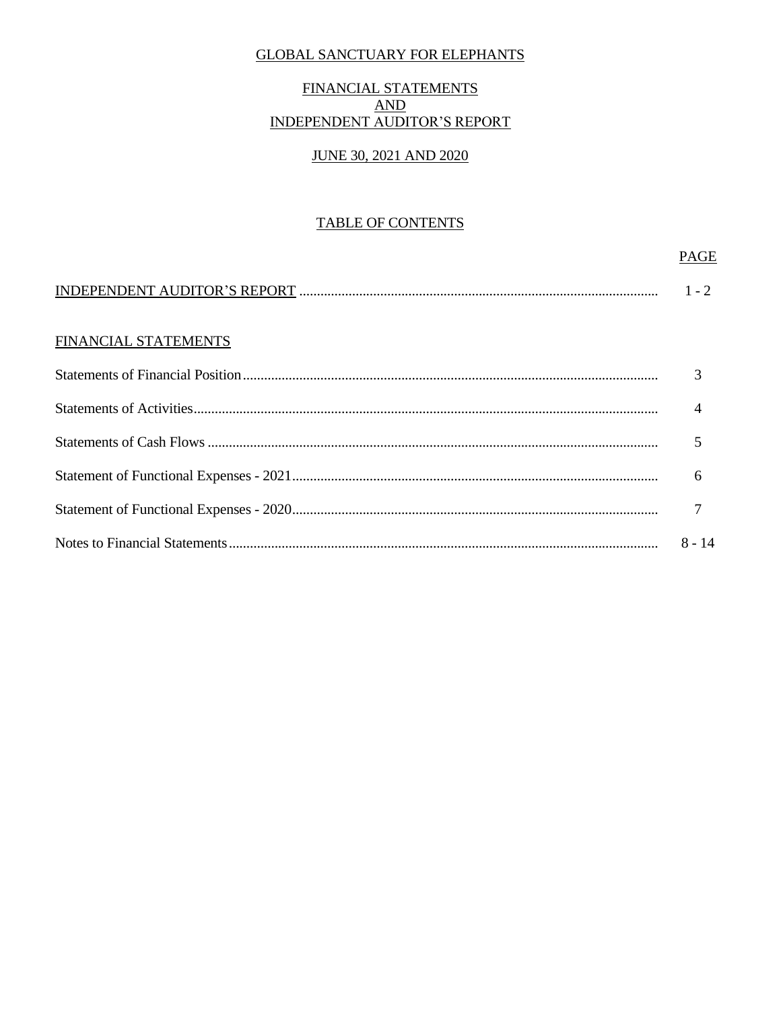# FINANCIAL STATEMENTS  $AND$ **INDEPENDENT AUDITOR'S REPORT**

### **JUNE 30, 2021 AND 2020**

### **TABLE OF CONTENTS**

#### **PAGE**

# FINANCIAL STATEMENTS

| $8 - 14$ |
|----------|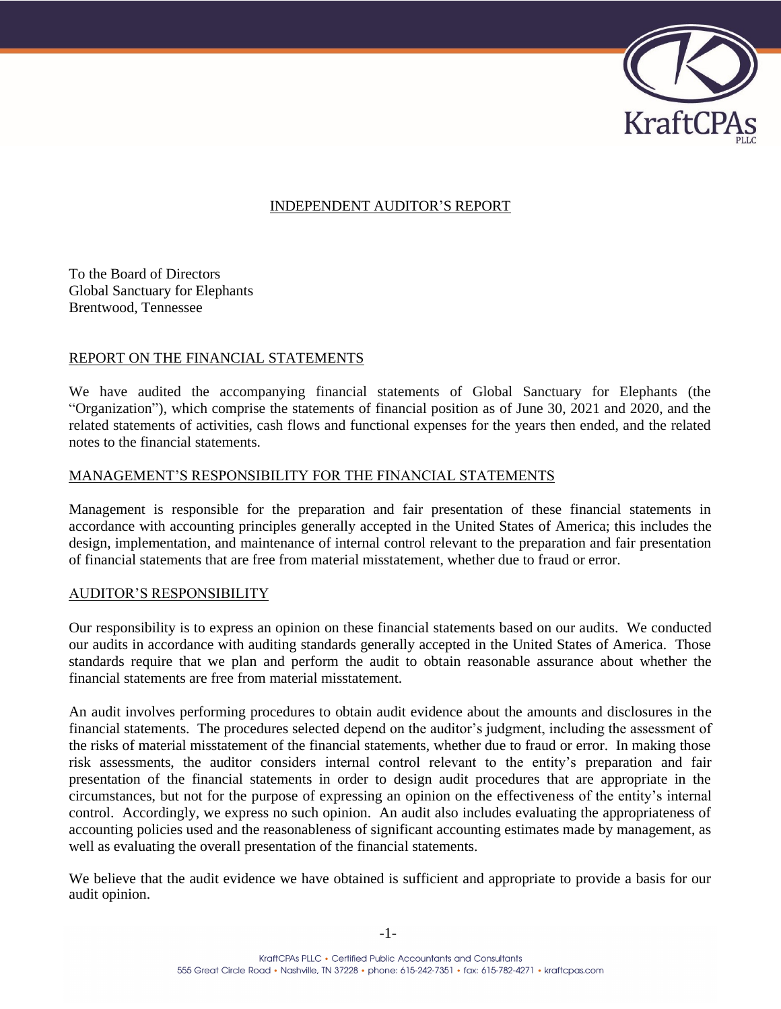

# INDEPENDENT AUDITOR'S REPORT

To the Board of Directors Global Sanctuary for Elephants Brentwood, Tennessee

#### REPORT ON THE FINANCIAL STATEMENTS

We have audited the accompanying financial statements of Global Sanctuary for Elephants (the "Organization"), which comprise the statements of financial position as of June 30, 2021 and 2020, and the related statements of activities, cash flows and functional expenses for the years then ended, and the related notes to the financial statements.

#### MANAGEMENT'S RESPONSIBILITY FOR THE FINANCIAL STATEMENTS

Management is responsible for the preparation and fair presentation of these financial statements in accordance with accounting principles generally accepted in the United States of America; this includes the design, implementation, and maintenance of internal control relevant to the preparation and fair presentation of financial statements that are free from material misstatement, whether due to fraud or error.

#### AUDITOR'S RESPONSIBILITY

Our responsibility is to express an opinion on these financial statements based on our audits. We conducted our audits in accordance with auditing standards generally accepted in the United States of America. Those standards require that we plan and perform the audit to obtain reasonable assurance about whether the financial statements are free from material misstatement.

An audit involves performing procedures to obtain audit evidence about the amounts and disclosures in the financial statements. The procedures selected depend on the auditor's judgment, including the assessment of the risks of material misstatement of the financial statements, whether due to fraud or error. In making those risk assessments, the auditor considers internal control relevant to the entity's preparation and fair presentation of the financial statements in order to design audit procedures that are appropriate in the circumstances, but not for the purpose of expressing an opinion on the effectiveness of the entity's internal control. Accordingly, we express no such opinion. An audit also includes evaluating the appropriateness of accounting policies used and the reasonableness of significant accounting estimates made by management, as well as evaluating the overall presentation of the financial statements.

We believe that the audit evidence we have obtained is sufficient and appropriate to provide a basis for our audit opinion.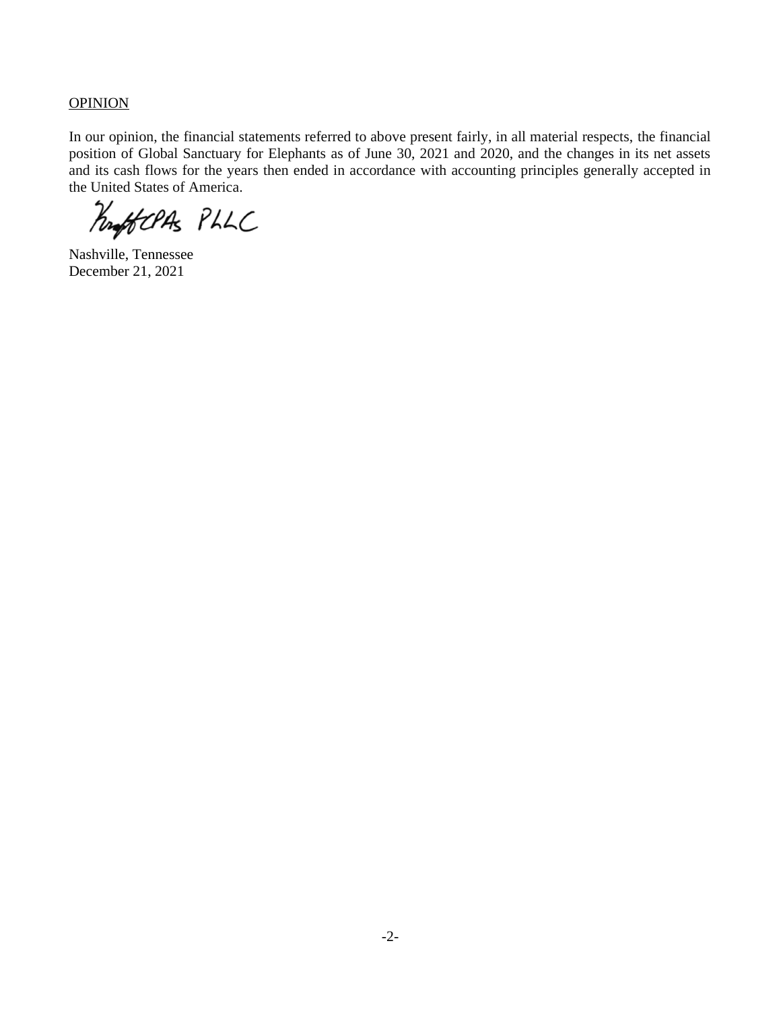**OPINION** 

In our opinion, the financial statements referred to above present fairly, in all material respects, the financial position of Global Sanctuary for Elephants as of June 30, 2021 and 2020, and the changes in its net assets and its cash flows for the years then ended in accordance with accounting principles generally accepted in the United States of America.

Profoclas PLLC

Nashville, Tennessee December 21, 2021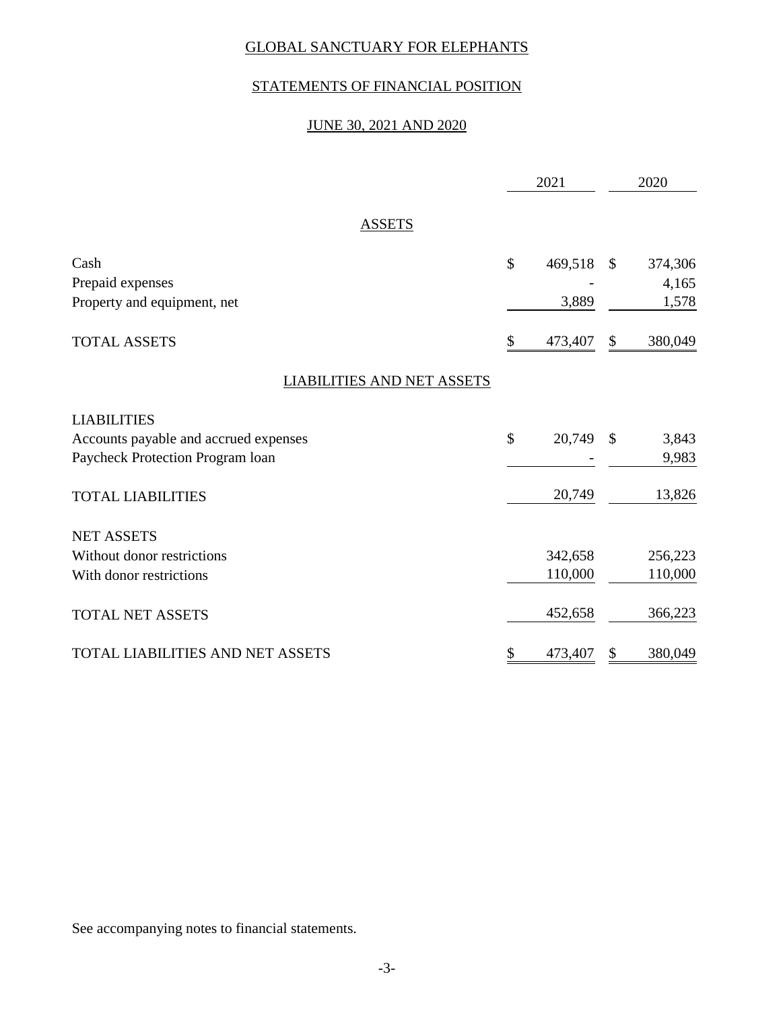# STATEMENTS OF FINANCIAL POSITION

# JUNE 30, 2021 AND 2020

|                                         | 2021          |               | 2020    |
|-----------------------------------------|---------------|---------------|---------|
| <b>ASSETS</b>                           |               |               |         |
| Cash                                    | \$<br>469,518 | $\mathcal{S}$ | 374,306 |
| Prepaid expenses                        |               |               | 4,165   |
| Property and equipment, net             | 3,889         |               | 1,578   |
| <b>TOTAL ASSETS</b>                     | \$<br>473,407 | \$            | 380,049 |
| <b>LIABILITIES AND NET ASSETS</b>       |               |               |         |
| <b>LIABILITIES</b>                      |               |               |         |
| Accounts payable and accrued expenses   | \$<br>20,749  | $\mathcal{S}$ | 3,843   |
| Paycheck Protection Program loan        |               |               | 9,983   |
| <b>TOTAL LIABILITIES</b>                | 20,749        |               | 13,826  |
| <b>NET ASSETS</b>                       |               |               |         |
| Without donor restrictions              | 342,658       |               | 256,223 |
| With donor restrictions                 | 110,000       |               | 110,000 |
| <b>TOTAL NET ASSETS</b>                 | 452,658       |               | 366,223 |
| <b>TOTAL LIABILITIES AND NET ASSETS</b> | \$<br>473,407 | \$            | 380,049 |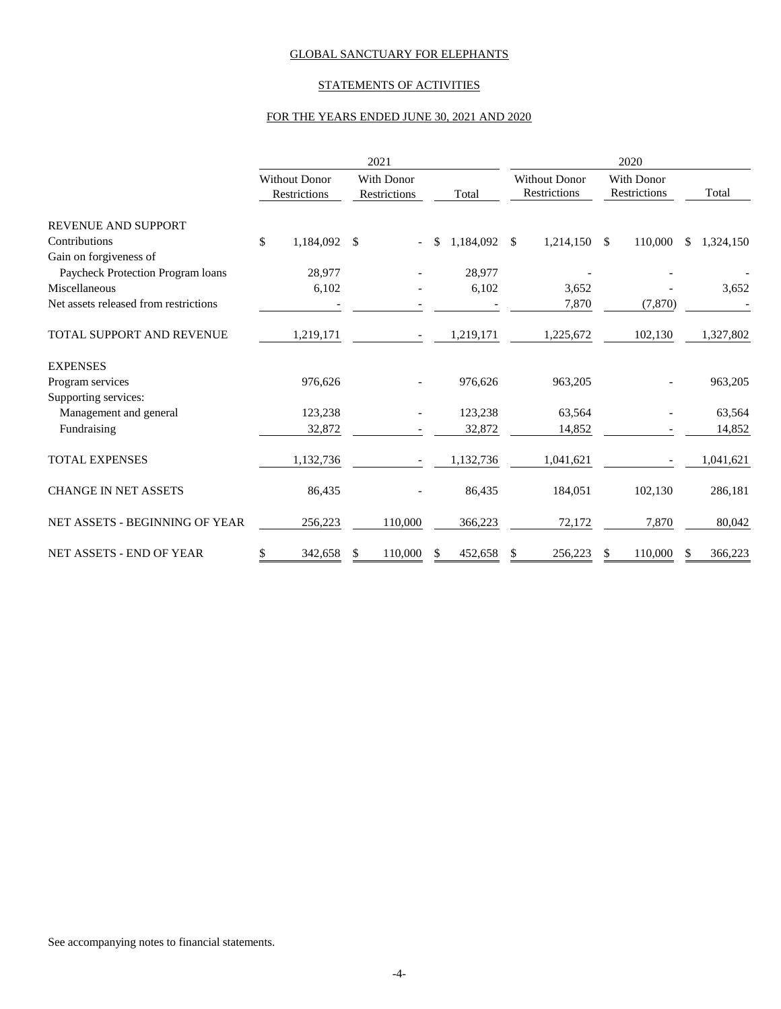#### STATEMENTS OF ACTIVITIES

#### FOR THE YEARS ENDED JUNE 30, 2021 AND 2020

|                                       |                                      | 2021                              |                  | 2020                                        |                                          |                  |  |  |  |  |
|---------------------------------------|--------------------------------------|-----------------------------------|------------------|---------------------------------------------|------------------------------------------|------------------|--|--|--|--|
|                                       | <b>Without Donor</b><br>Restrictions | <b>With Donor</b><br>Restrictions | Total            | <b>Without Donor</b><br><b>Restrictions</b> | <b>With Donor</b><br><b>Restrictions</b> | Total            |  |  |  |  |
| <b>REVENUE AND SUPPORT</b>            |                                      |                                   |                  |                                             |                                          |                  |  |  |  |  |
| Contributions                         | \$<br>1,184,092 \$                   | $\overline{\phantom{0}}$          | \$.<br>1,184,092 | $\mathcal{S}$<br>1,214,150                  | $\mathcal{S}$<br>110,000                 | 1,324,150<br>\$. |  |  |  |  |
| Gain on forgiveness of                |                                      |                                   |                  |                                             |                                          |                  |  |  |  |  |
| Paycheck Protection Program loans     | 28,977                               |                                   | 28,977           |                                             |                                          |                  |  |  |  |  |
| Miscellaneous                         | 6,102                                |                                   | 6,102            | 3,652                                       |                                          | 3,652            |  |  |  |  |
| Net assets released from restrictions |                                      |                                   |                  | 7,870                                       | (7, 870)                                 |                  |  |  |  |  |
| TOTAL SUPPORT AND REVENUE             | 1,219,171                            |                                   | 1,219,171        | 1,225,672                                   | 102,130                                  | 1,327,802        |  |  |  |  |
| <b>EXPENSES</b>                       |                                      |                                   |                  |                                             |                                          |                  |  |  |  |  |
| Program services                      | 976.626                              |                                   | 976,626          | 963,205                                     |                                          | 963,205          |  |  |  |  |
| Supporting services:                  |                                      |                                   |                  |                                             |                                          |                  |  |  |  |  |
| Management and general                | 123,238                              |                                   | 123,238          | 63,564                                      |                                          | 63,564           |  |  |  |  |
| Fundraising                           | 32,872                               |                                   | 32,872           | 14,852                                      |                                          | 14,852           |  |  |  |  |
| <b>TOTAL EXPENSES</b>                 | 1,132,736                            |                                   | 1,132,736        | 1,041,621                                   |                                          | 1,041,621        |  |  |  |  |
| <b>CHANGE IN NET ASSETS</b>           | 86,435                               |                                   | 86,435           | 184,051                                     | 102,130                                  | 286,181          |  |  |  |  |
| NET ASSETS - BEGINNING OF YEAR        | 256,223                              | 110,000                           | 366,223          | 72,172                                      | 7,870                                    | 80,042           |  |  |  |  |
| NET ASSETS - END OF YEAR              | 342,658<br>\$                        | 110,000<br>\$                     | 452,658<br>S     | 256,223<br>\$                               | 110,000<br>S                             | 366,223<br>S     |  |  |  |  |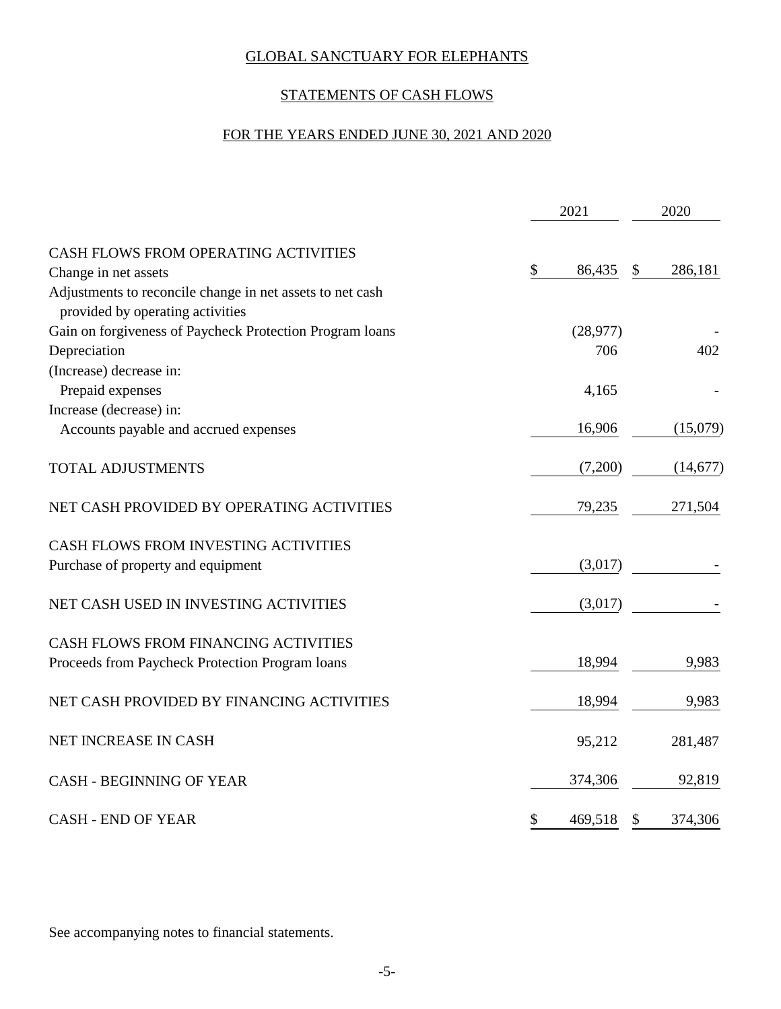# STATEMENTS OF CASH FLOWS

# FOR THE YEARS ENDED JUNE 30, 2021 AND 2020

|                                                                                               | 2021          |    |           |  |
|-----------------------------------------------------------------------------------------------|---------------|----|-----------|--|
| CASH FLOWS FROM OPERATING ACTIVITIES                                                          |               |    |           |  |
| Change in net assets                                                                          | \$<br>86,435  | \$ | 286,181   |  |
| Adjustments to reconcile change in net assets to net cash<br>provided by operating activities |               |    |           |  |
| Gain on forgiveness of Paycheck Protection Program loans                                      | (28, 977)     |    |           |  |
| Depreciation                                                                                  | 706           |    | 402       |  |
| (Increase) decrease in:                                                                       |               |    |           |  |
| Prepaid expenses                                                                              | 4,165         |    |           |  |
| Increase (decrease) in:                                                                       |               |    |           |  |
| Accounts payable and accrued expenses                                                         | 16,906        |    | (15,079)  |  |
| TOTAL ADJUSTMENTS                                                                             | (7,200)       |    | (14, 677) |  |
| NET CASH PROVIDED BY OPERATING ACTIVITIES                                                     | 79,235        |    | 271,504   |  |
| CASH FLOWS FROM INVESTING ACTIVITIES                                                          |               |    |           |  |
| Purchase of property and equipment                                                            | (3,017)       |    |           |  |
| NET CASH USED IN INVESTING ACTIVITIES                                                         | (3,017)       |    |           |  |
| CASH FLOWS FROM FINANCING ACTIVITIES                                                          |               |    |           |  |
| Proceeds from Paycheck Protection Program loans                                               | 18,994        |    | 9,983     |  |
| NET CASH PROVIDED BY FINANCING ACTIVITIES                                                     | 18,994        |    | 9,983     |  |
| NET INCREASE IN CASH                                                                          | 95,212        |    | 281,487   |  |
| <b>CASH - BEGINNING OF YEAR</b>                                                               | 374,306       |    | 92,819    |  |
| <b>CASH - END OF YEAR</b>                                                                     | \$<br>469,518 | \$ | 374,306   |  |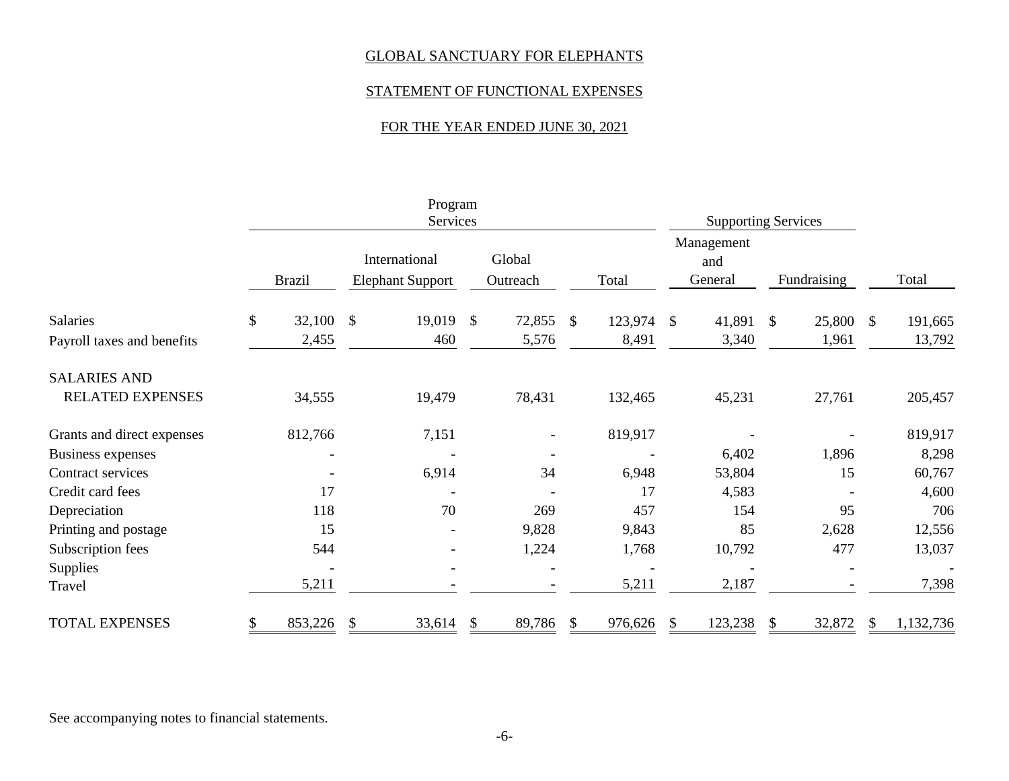### STATEMENT OF FUNCTIONAL EXPENSES

# FOR THE YEAR ENDED JUNE 30, 2021

|                                        |               |                 |                                          | Program<br>Services |                    |                 |              |                  |                              | <b>Supporting Services</b> |             |                 |               |                   |
|----------------------------------------|---------------|-----------------|------------------------------------------|---------------------|--------------------|-----------------|--------------|------------------|------------------------------|----------------------------|-------------|-----------------|---------------|-------------------|
|                                        | <b>Brazil</b> |                 | International<br><b>Elephant Support</b> |                     | Global<br>Outreach |                 | Total        |                  | Management<br>and<br>General |                            | Fundraising |                 |               | Total             |
| Salaries<br>Payroll taxes and benefits | $\mathbb{S}$  | 32,100<br>2,455 | $\mathcal{S}$                            | 19,019<br>460       | $\mathbb{S}$       | 72,855<br>5,576 | $\mathbb{S}$ | 123,974<br>8,491 | $\mathcal{S}$                | 41,891 \$<br>3,340         |             | 25,800<br>1,961 | $\mathcal{S}$ | 191,665<br>13,792 |
| <b>SALARIES AND</b>                    |               |                 |                                          |                     |                    |                 |              |                  |                              |                            |             |                 |               |                   |
| <b>RELATED EXPENSES</b>                |               | 34,555          |                                          | 19,479              |                    | 78,431          |              | 132,465          |                              | 45,231                     |             | 27,761          |               | 205,457           |
| Grants and direct expenses             |               | 812,766         |                                          | 7,151               |                    |                 |              | 819,917          |                              |                            |             |                 |               | 819,917           |
| <b>Business expenses</b>               |               |                 |                                          |                     |                    |                 |              |                  |                              | 6,402                      |             | 1,896           |               | 8,298             |
| Contract services                      |               |                 |                                          | 6,914               |                    | 34              |              | 6,948            |                              | 53,804                     |             | 15              |               | 60,767            |
| Credit card fees                       |               | 17              |                                          |                     |                    |                 |              | 17               |                              | 4,583                      |             |                 |               | 4,600             |
| Depreciation                           |               | 118             |                                          | 70                  |                    | 269             |              | 457              |                              | 154                        |             | 95              |               | 706               |
| Printing and postage                   |               | 15              |                                          |                     |                    | 9,828           |              | 9,843            |                              | 85                         |             | 2,628           |               | 12,556            |
| Subscription fees                      |               | 544             |                                          |                     |                    | 1,224           |              | 1,768            |                              | 10,792                     |             | 477             |               | 13,037            |
| <b>Supplies</b>                        |               |                 |                                          |                     |                    |                 |              |                  |                              |                            |             |                 |               |                   |
| Travel                                 |               | 5,211           |                                          |                     |                    |                 |              | 5,211            |                              | 2,187                      |             |                 |               | 7,398             |
| <b>TOTAL EXPENSES</b>                  | \$            | 853,226         | \$                                       | 33,614              | \$                 | 89,786          | -S           | 976,626          |                              | 123,238                    |             | 32,872          |               | 1,132,736         |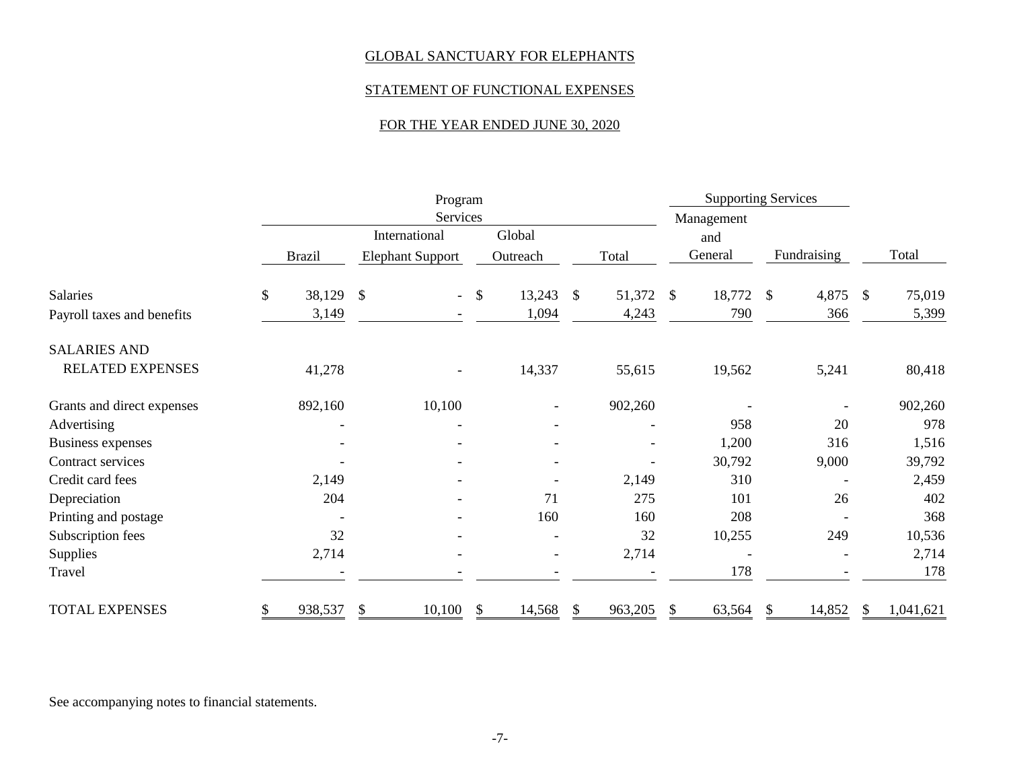# STATEMENT OF FUNCTIONAL EXPENSES

# FOR THE YEAR ENDED JUNE 30, 2020

|                            |    | Program                  |                         |                          |            |                          |               | <b>Supporting Services</b> |            |            |               |                          |               |           |
|----------------------------|----|--------------------------|-------------------------|--------------------------|------------|--------------------------|---------------|----------------------------|------------|------------|---------------|--------------------------|---------------|-----------|
|                            |    |                          | <b>Services</b>         |                          |            |                          |               |                            |            | Management |               |                          |               |           |
|                            |    |                          | International           |                          |            | Global                   |               |                            |            | and        |               |                          |               |           |
|                            |    | <b>Brazil</b>            | <b>Elephant Support</b> |                          |            | Outreach                 |               | Total                      |            | General    |               | Fundraising              |               | Total     |
| Salaries                   | \$ | 38,129                   | $\mathcal{S}$           | $\sim$                   | $\sqrt{3}$ | 13,243                   | $\mathcal{S}$ | 51,372                     | $\sqrt{3}$ | 18,772     | $\mathcal{S}$ | 4,875                    | $\mathcal{S}$ | 75,019    |
| Payroll taxes and benefits |    | 3,149                    |                         |                          |            | 1,094                    |               | 4,243                      |            | 790        |               | 366                      |               | 5,399     |
| <b>SALARIES AND</b>        |    |                          |                         |                          |            |                          |               |                            |            |            |               |                          |               |           |
| RELATED EXPENSES           |    | 41,278                   |                         |                          |            | 14,337                   |               | 55,615                     |            | 19,562     |               | 5,241                    |               | 80,418    |
| Grants and direct expenses |    | 892,160                  | 10,100                  |                          |            | $\overline{\phantom{a}}$ |               | 902,260                    |            |            |               | $\overline{\phantom{a}}$ |               | 902,260   |
| Advertising                |    | $\overline{\phantom{0}}$ |                         | $\overline{\phantom{a}}$ |            |                          |               |                            |            | 958        |               | 20                       |               | 978       |
| <b>Business expenses</b>   |    |                          |                         |                          |            |                          |               |                            |            | 1,200      |               | 316                      |               | 1,516     |
| Contract services          |    |                          |                         |                          |            |                          |               |                            |            | 30,792     |               | 9,000                    |               | 39,792    |
| Credit card fees           |    | 2,149                    |                         |                          |            |                          |               | 2,149                      |            | 310        |               |                          |               | 2,459     |
| Depreciation               |    | 204                      |                         | $\overline{\phantom{a}}$ |            | 71                       |               | 275                        |            | 101        |               | 26                       |               | 402       |
| Printing and postage       |    |                          |                         |                          |            | 160                      |               | 160                        |            | 208        |               |                          |               | 368       |
| Subscription fees          |    | 32                       |                         | $\overline{\phantom{a}}$ |            |                          |               | 32                         |            | 10,255     |               | 249                      |               | 10,536    |
| <b>Supplies</b>            |    | 2,714                    |                         |                          |            | $\overline{\phantom{a}}$ |               | 2,714                      |            |            |               |                          |               | 2,714     |
| Travel                     |    |                          |                         |                          |            |                          |               |                            |            | 178        |               |                          |               | 178       |
| <b>TOTAL EXPENSES</b>      | S  | 938,537                  | 10,100<br>\$            |                          | \$         | 14,568                   | \$            | 963,205                    | S          | 63,564     | \$            | 14,852                   | S             | 1,041,621 |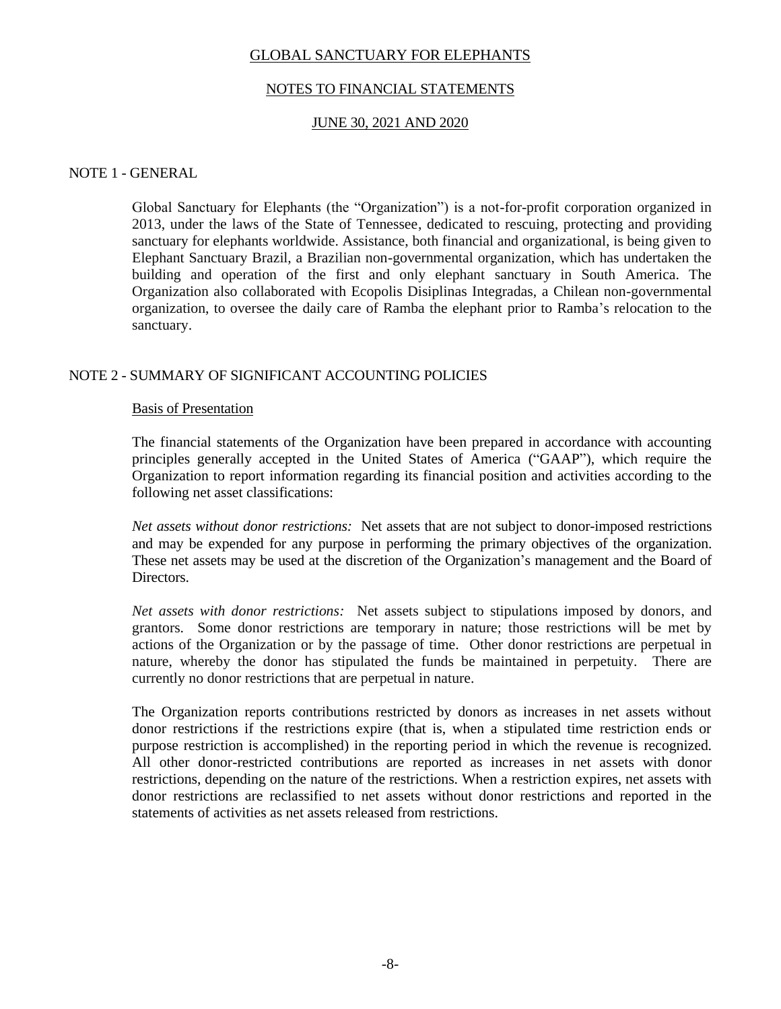### NOTES TO FINANCIAL STATEMENTS

### JUNE 30, 2021 AND 2020

### NOTE 1 - GENERAL

Global Sanctuary for Elephants (the "Organization") is a not-for-profit corporation organized in 2013, under the laws of the State of Tennessee, dedicated to rescuing, protecting and providing sanctuary for elephants worldwide. Assistance, both financial and organizational, is being given to Elephant Sanctuary Brazil, a Brazilian non-governmental organization, which has undertaken the building and operation of the first and only elephant sanctuary in South America. The Organization also collaborated with Ecopolis Disiplinas Integradas, a Chilean non-governmental organization, to oversee the daily care of Ramba the elephant prior to Ramba's relocation to the sanctuary.

### NOTE 2 - SUMMARY OF SIGNIFICANT ACCOUNTING POLICIES

#### Basis of Presentation

The financial statements of the Organization have been prepared in accordance with accounting principles generally accepted in the United States of America ("GAAP"), which require the Organization to report information regarding its financial position and activities according to the following net asset classifications:

*Net assets without donor restrictions:* Net assets that are not subject to donor-imposed restrictions and may be expended for any purpose in performing the primary objectives of the organization. These net assets may be used at the discretion of the Organization's management and the Board of Directors.

*Net assets with donor restrictions:* Net assets subject to stipulations imposed by donors, and grantors. Some donor restrictions are temporary in nature; those restrictions will be met by actions of the Organization or by the passage of time. Other donor restrictions are perpetual in nature, whereby the donor has stipulated the funds be maintained in perpetuity. There are currently no donor restrictions that are perpetual in nature.

The Organization reports contributions restricted by donors as increases in net assets without donor restrictions if the restrictions expire (that is, when a stipulated time restriction ends or purpose restriction is accomplished) in the reporting period in which the revenue is recognized. All other donor-restricted contributions are reported as increases in net assets with donor restrictions, depending on the nature of the restrictions. When a restriction expires, net assets with donor restrictions are reclassified to net assets without donor restrictions and reported in the statements of activities as net assets released from restrictions.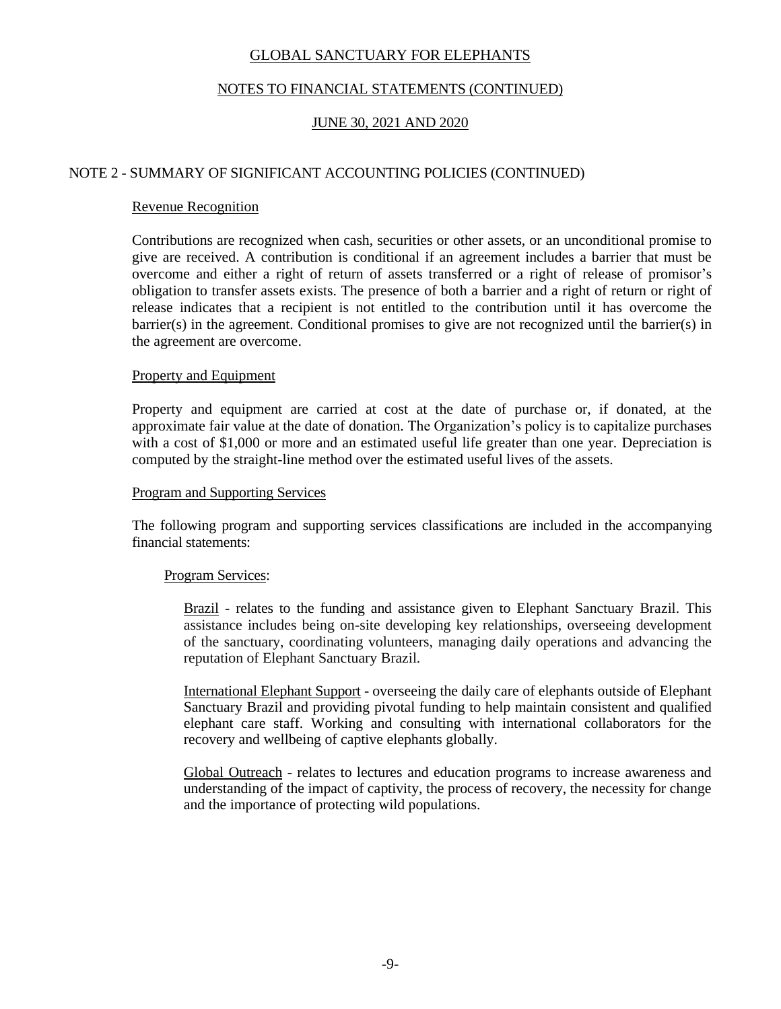# NOTES TO FINANCIAL STATEMENTS (CONTINUED)

# JUNE 30, 2021 AND 2020

### NOTE 2 - SUMMARY OF SIGNIFICANT ACCOUNTING POLICIES (CONTINUED)

### Revenue Recognition

Contributions are recognized when cash, securities or other assets, or an unconditional promise to give are received. A contribution is conditional if an agreement includes a barrier that must be overcome and either a right of return of assets transferred or a right of release of promisor's obligation to transfer assets exists. The presence of both a barrier and a right of return or right of release indicates that a recipient is not entitled to the contribution until it has overcome the barrier(s) in the agreement. Conditional promises to give are not recognized until the barrier(s) in the agreement are overcome.

#### Property and Equipment

Property and equipment are carried at cost at the date of purchase or, if donated, at the approximate fair value at the date of donation. The Organization's policy is to capitalize purchases with a cost of \$1,000 or more and an estimated useful life greater than one year. Depreciation is computed by the straight-line method over the estimated useful lives of the assets.

#### Program and Supporting Services

The following program and supporting services classifications are included in the accompanying financial statements:

#### Program Services:

Brazil - relates to the funding and assistance given to Elephant Sanctuary Brazil. This assistance includes being on-site developing key relationships, overseeing development of the sanctuary, coordinating volunteers, managing daily operations and advancing the reputation of Elephant Sanctuary Brazil.

International Elephant Support - overseeing the daily care of elephants outside of Elephant Sanctuary Brazil and providing pivotal funding to help maintain consistent and qualified elephant care staff. Working and consulting with international collaborators for the recovery and wellbeing of captive elephants globally.

Global Outreach - relates to lectures and education programs to increase awareness and understanding of the impact of captivity, the process of recovery, the necessity for change and the importance of protecting wild populations.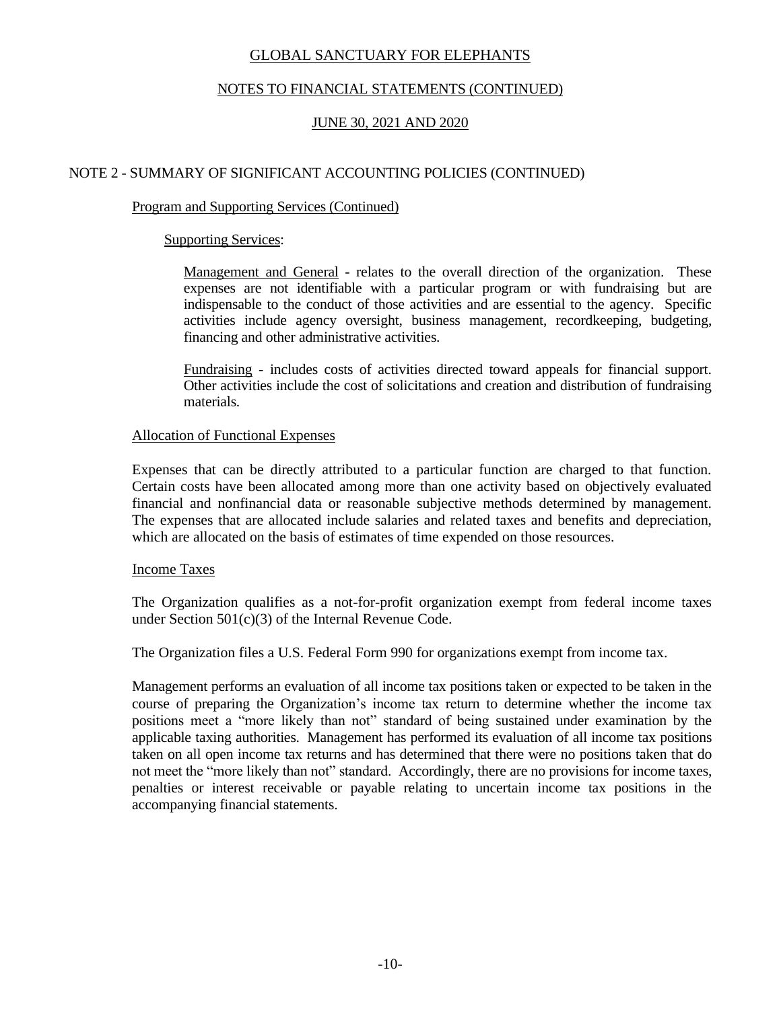# NOTES TO FINANCIAL STATEMENTS (CONTINUED)

# JUNE 30, 2021 AND 2020

### NOTE 2 - SUMMARY OF SIGNIFICANT ACCOUNTING POLICIES (CONTINUED)

### Program and Supporting Services (Continued)

### Supporting Services:

Management and General - relates to the overall direction of the organization. These expenses are not identifiable with a particular program or with fundraising but are indispensable to the conduct of those activities and are essential to the agency. Specific activities include agency oversight, business management, recordkeeping, budgeting, financing and other administrative activities.

Fundraising - includes costs of activities directed toward appeals for financial support. Other activities include the cost of solicitations and creation and distribution of fundraising materials.

### Allocation of Functional Expenses

Expenses that can be directly attributed to a particular function are charged to that function. Certain costs have been allocated among more than one activity based on objectively evaluated financial and nonfinancial data or reasonable subjective methods determined by management. The expenses that are allocated include salaries and related taxes and benefits and depreciation, which are allocated on the basis of estimates of time expended on those resources.

#### Income Taxes

The Organization qualifies as a not-for-profit organization exempt from federal income taxes under Section 501(c)(3) of the Internal Revenue Code.

The Organization files a U.S. Federal Form 990 for organizations exempt from income tax.

Management performs an evaluation of all income tax positions taken or expected to be taken in the course of preparing the Organization's income tax return to determine whether the income tax positions meet a "more likely than not" standard of being sustained under examination by the applicable taxing authorities. Management has performed its evaluation of all income tax positions taken on all open income tax returns and has determined that there were no positions taken that do not meet the "more likely than not" standard. Accordingly, there are no provisions for income taxes, penalties or interest receivable or payable relating to uncertain income tax positions in the accompanying financial statements.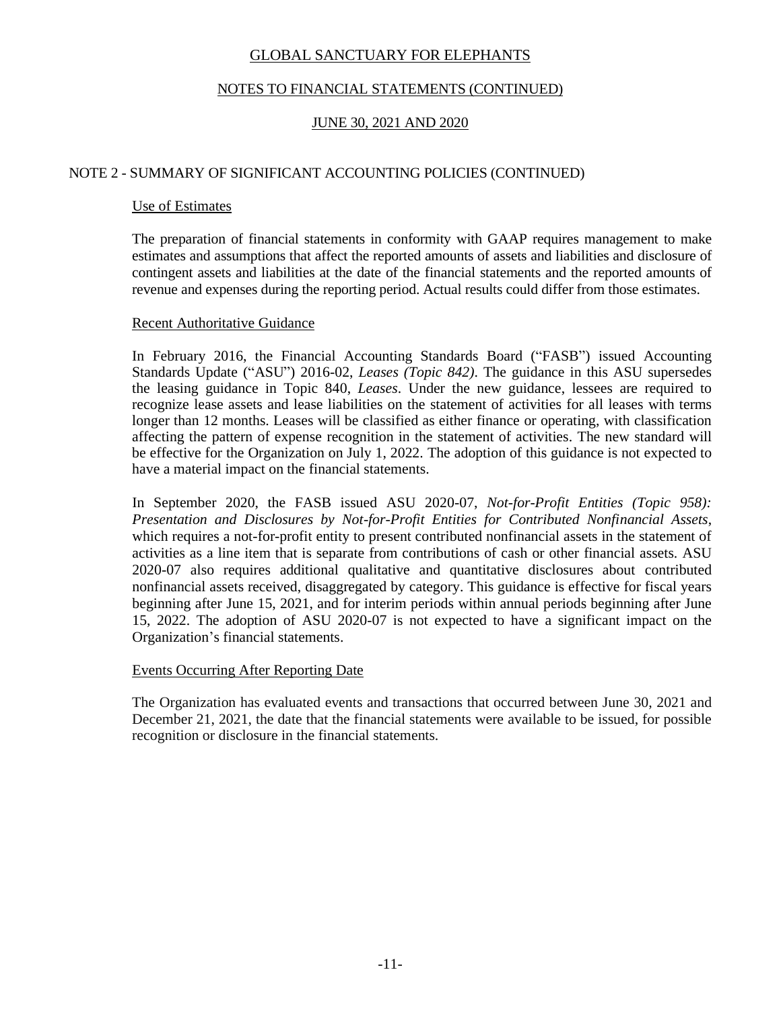# NOTES TO FINANCIAL STATEMENTS (CONTINUED)

# JUNE 30, 2021 AND 2020

### NOTE 2 - SUMMARY OF SIGNIFICANT ACCOUNTING POLICIES (CONTINUED)

### Use of Estimates

The preparation of financial statements in conformity with GAAP requires management to make estimates and assumptions that affect the reported amounts of assets and liabilities and disclosure of contingent assets and liabilities at the date of the financial statements and the reported amounts of revenue and expenses during the reporting period. Actual results could differ from those estimates.

#### Recent Authoritative Guidance

In February 2016, the Financial Accounting Standards Board ("FASB") issued Accounting Standards Update ("ASU") 2016-02, *Leases (Topic 842)*. The guidance in this ASU supersedes the leasing guidance in Topic 840, *Leases*. Under the new guidance, lessees are required to recognize lease assets and lease liabilities on the statement of activities for all leases with terms longer than 12 months. Leases will be classified as either finance or operating, with classification affecting the pattern of expense recognition in the statement of activities. The new standard will be effective for the Organization on July 1, 2022. The adoption of this guidance is not expected to have a material impact on the financial statements.

In September 2020, the FASB issued ASU 2020-07, *Not-for-Profit Entities (Topic 958): Presentation and Disclosures by Not-for-Profit Entities for Contributed Nonfinancial Assets*, which requires a not-for-profit entity to present contributed nonfinancial assets in the statement of activities as a line item that is separate from contributions of cash or other financial assets. ASU 2020-07 also requires additional qualitative and quantitative disclosures about contributed nonfinancial assets received, disaggregated by category. This guidance is effective for fiscal years beginning after June 15, 2021, and for interim periods within annual periods beginning after June 15, 2022. The adoption of ASU 2020-07 is not expected to have a significant impact on the Organization's financial statements.

#### Events Occurring After Reporting Date

The Organization has evaluated events and transactions that occurred between June 30, 2021 and December 21, 2021, the date that the financial statements were available to be issued, for possible recognition or disclosure in the financial statements.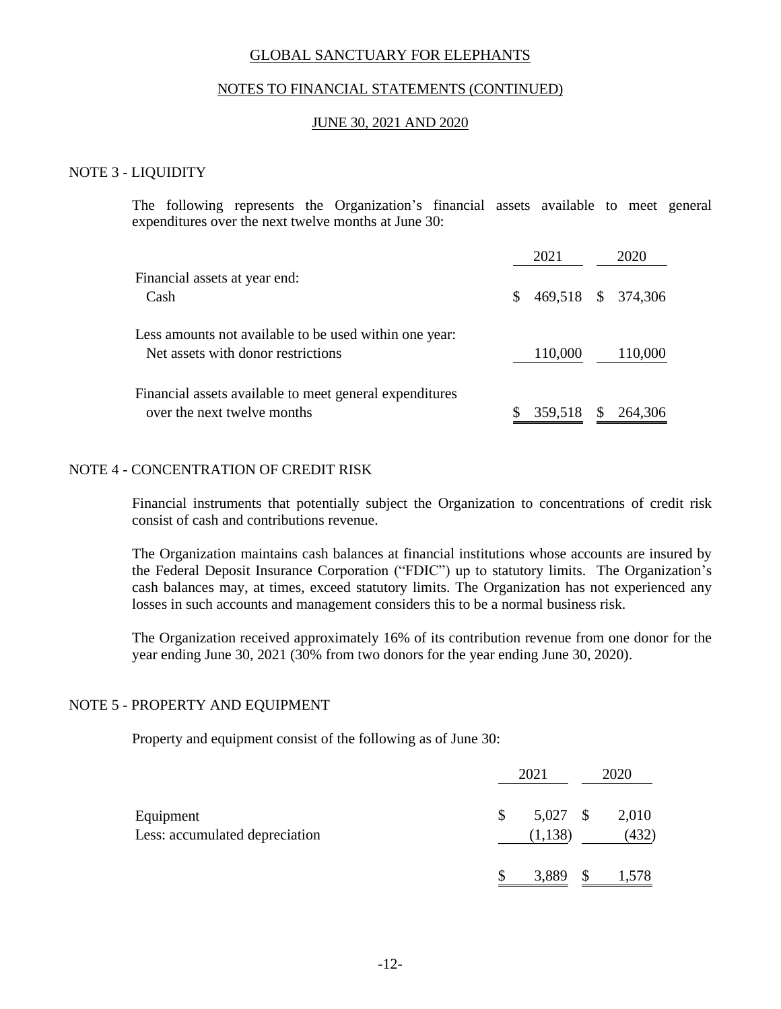### NOTES TO FINANCIAL STATEMENTS (CONTINUED)

#### JUNE 30, 2021 AND 2020

#### NOTE 3 - LIQUIDITY

The following represents the Organization's financial assets available to meet general expenditures over the next twelve months at June 30:

|                                                                                              |     | 2021               | 2020    |
|----------------------------------------------------------------------------------------------|-----|--------------------|---------|
| Financial assets at year end:<br>Cash                                                        | S.  | 469,518 \$ 374,306 |         |
| Less amounts not available to be used within one year:<br>Net assets with donor restrictions |     | 110,000            | 110,000 |
| Financial assets available to meet general expenditures<br>over the next twelve months       | \$. | 359,518 \$ 264,306 |         |

#### NOTE 4 - CONCENTRATION OF CREDIT RISK

Financial instruments that potentially subject the Organization to concentrations of credit risk consist of cash and contributions revenue.

The Organization maintains cash balances at financial institutions whose accounts are insured by the Federal Deposit Insurance Corporation ("FDIC") up to statutory limits. The Organization's cash balances may, at times, exceed statutory limits. The Organization has not experienced any losses in such accounts and management considers this to be a normal business risk.

The Organization received approximately 16% of its contribution revenue from one donor for the year ending June 30, 2021 (30% from two donors for the year ending June 30, 2020).

#### NOTE 5 - PROPERTY AND EQUIPMENT

Property and equipment consist of the following as of June 30:

|                                             | 2021                       | 2020           |
|---------------------------------------------|----------------------------|----------------|
| Equipment<br>Less: accumulated depreciation | \$<br>5,027 \$<br>(1, 138) | 2,010<br>(432) |
|                                             | 3,889 \$                   | 1,578          |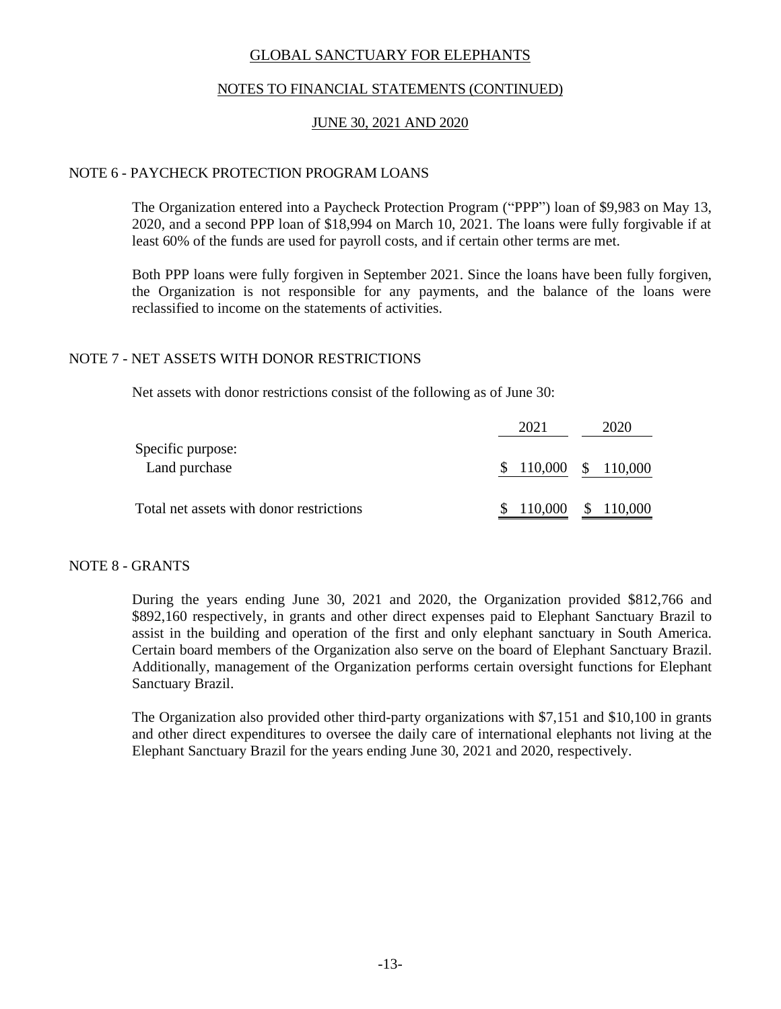### NOTES TO FINANCIAL STATEMENTS (CONTINUED)

### JUNE 30, 2021 AND 2020

#### NOTE 6 - PAYCHECK PROTECTION PROGRAM LOANS

The Organization entered into a Paycheck Protection Program ("PPP") loan of \$9,983 on May 13, 2020, and a second PPP loan of \$18,994 on March 10, 2021. The loans were fully forgivable if at least 60% of the funds are used for payroll costs, and if certain other terms are met.

Both PPP loans were fully forgiven in September 2021. Since the loans have been fully forgiven, the Organization is not responsible for any payments, and the balance of the loans were reclassified to income on the statements of activities.

### NOTE 7 - NET ASSETS WITH DONOR RESTRICTIONS

Net assets with donor restrictions consist of the following as of June 30:

|                                          | 2021 | 2020                 |
|------------------------------------------|------|----------------------|
| Specific purpose:                        |      |                      |
| Land purchase                            |      | $$110,000 \$110,000$ |
| Total net assets with donor restrictions |      | $$110,000 \$110,000$ |

#### NOTE 8 - GRANTS

During the years ending June 30, 2021 and 2020, the Organization provided \$812,766 and \$892,160 respectively, in grants and other direct expenses paid to Elephant Sanctuary Brazil to assist in the building and operation of the first and only elephant sanctuary in South America. Certain board members of the Organization also serve on the board of Elephant Sanctuary Brazil. Additionally, management of the Organization performs certain oversight functions for Elephant Sanctuary Brazil.

The Organization also provided other third-party organizations with \$7,151 and \$10,100 in grants and other direct expenditures to oversee the daily care of international elephants not living at the Elephant Sanctuary Brazil for the years ending June 30, 2021 and 2020, respectively.